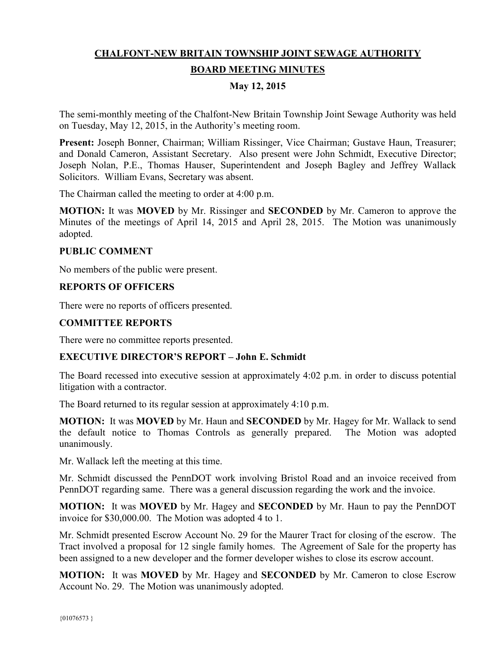# **CHALFONT-NEW BRITAIN TOWNSHIP JOINT SEWAGE AUTHORITY BOARD MEETING MINUTES**

## **May 12, 2015**

The semi-monthly meeting of the Chalfont-New Britain Township Joint Sewage Authority was held on Tuesday, May 12, 2015, in the Authority's meeting room.

**Present:** Joseph Bonner, Chairman; William Rissinger, Vice Chairman; Gustave Haun, Treasurer; and Donald Cameron, Assistant Secretary. Also present were John Schmidt, Executive Director; Joseph Nolan, P.E., Thomas Hauser, Superintendent and Joseph Bagley and Jeffrey Wallack Solicitors. William Evans, Secretary was absent.

The Chairman called the meeting to order at 4:00 p.m.

**MOTION:** It was **MOVED** by Mr. Rissinger and **SECONDED** by Mr. Cameron to approve the Minutes of the meetings of April 14, 2015 and April 28, 2015. The Motion was unanimously adopted.

#### **PUBLIC COMMENT**

No members of the public were present.

### **REPORTS OF OFFICERS**

There were no reports of officers presented.

#### **COMMITTEE REPORTS**

There were no committee reports presented.

### **EXECUTIVE DIRECTOR'S REPORT – John E. Schmidt**

The Board recessed into executive session at approximately 4:02 p.m. in order to discuss potential litigation with a contractor.

The Board returned to its regular session at approximately 4:10 p.m.

**MOTION:** It was **MOVED** by Mr. Haun and **SECONDED** by Mr. Hagey for Mr. Wallack to send the default notice to Thomas Controls as generally prepared. The Motion was adopted unanimously.

Mr. Wallack left the meeting at this time.

Mr. Schmidt discussed the PennDOT work involving Bristol Road and an invoice received from PennDOT regarding same. There was a general discussion regarding the work and the invoice.

**MOTION:** It was **MOVED** by Mr. Hagey and **SECONDED** by Mr. Haun to pay the PennDOT invoice for \$30,000.00. The Motion was adopted 4 to 1.

Mr. Schmidt presented Escrow Account No. 29 for the Maurer Tract for closing of the escrow. The Tract involved a proposal for 12 single family homes. The Agreement of Sale for the property has been assigned to a new developer and the former developer wishes to close its escrow account.

**MOTION:** It was **MOVED** by Mr. Hagey and **SECONDED** by Mr. Cameron to close Escrow Account No. 29. The Motion was unanimously adopted.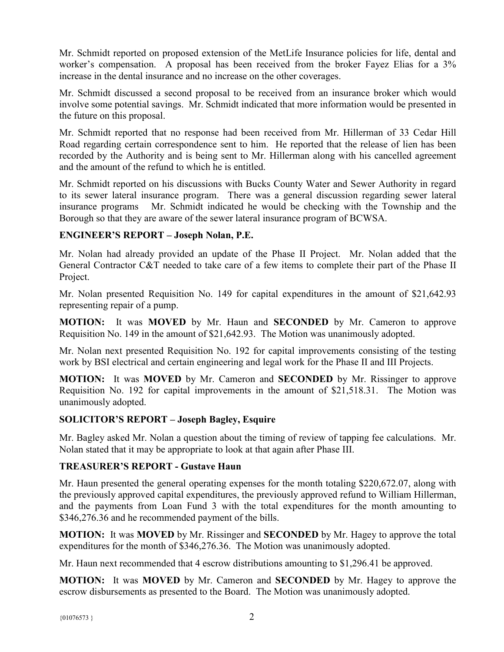Mr. Schmidt reported on proposed extension of the MetLife Insurance policies for life, dental and worker's compensation. A proposal has been received from the broker Fayez Elias for a 3% increase in the dental insurance and no increase on the other coverages.

Mr. Schmidt discussed a second proposal to be received from an insurance broker which would involve some potential savings. Mr. Schmidt indicated that more information would be presented in the future on this proposal.

Mr. Schmidt reported that no response had been received from Mr. Hillerman of 33 Cedar Hill Road regarding certain correspondence sent to him. He reported that the release of lien has been recorded by the Authority and is being sent to Mr. Hillerman along with his cancelled agreement and the amount of the refund to which he is entitled.

Mr. Schmidt reported on his discussions with Bucks County Water and Sewer Authority in regard to its sewer lateral insurance program. There was a general discussion regarding sewer lateral insurance programs Mr. Schmidt indicated he would be checking with the Township and the Borough so that they are aware of the sewer lateral insurance program of BCWSA.

### **ENGINEER'S REPORT – Joseph Nolan, P.E.**

Mr. Nolan had already provided an update of the Phase II Project. Mr. Nolan added that the General Contractor C&T needed to take care of a few items to complete their part of the Phase II Project.

Mr. Nolan presented Requisition No. 149 for capital expenditures in the amount of \$21,642.93 representing repair of a pump.

**MOTION:** It was **MOVED** by Mr. Haun and **SECONDED** by Mr. Cameron to approve Requisition No. 149 in the amount of \$21,642.93. The Motion was unanimously adopted.

Mr. Nolan next presented Requisition No. 192 for capital improvements consisting of the testing work by BSI electrical and certain engineering and legal work for the Phase II and III Projects.

**MOTION:** It was **MOVED** by Mr. Cameron and **SECONDED** by Mr. Rissinger to approve Requisition No. 192 for capital improvements in the amount of \$21,518.31. The Motion was unanimously adopted.

### **SOLICITOR'S REPORT – Joseph Bagley, Esquire**

Mr. Bagley asked Mr. Nolan a question about the timing of review of tapping fee calculations. Mr. Nolan stated that it may be appropriate to look at that again after Phase III.

# **TREASURER'S REPORT - Gustave Haun**

Mr. Haun presented the general operating expenses for the month totaling \$220,672.07, along with the previously approved capital expenditures, the previously approved refund to William Hillerman, and the payments from Loan Fund 3 with the total expenditures for the month amounting to \$346,276.36 and he recommended payment of the bills.

**MOTION:** It was **MOVED** by Mr. Rissinger and **SECONDED** by Mr. Hagey to approve the total expenditures for the month of \$346,276.36. The Motion was unanimously adopted.

Mr. Haun next recommended that 4 escrow distributions amounting to \$1,296.41 be approved.

**MOTION:** It was **MOVED** by Mr. Cameron and **SECONDED** by Mr. Hagey to approve the escrow disbursements as presented to the Board. The Motion was unanimously adopted.